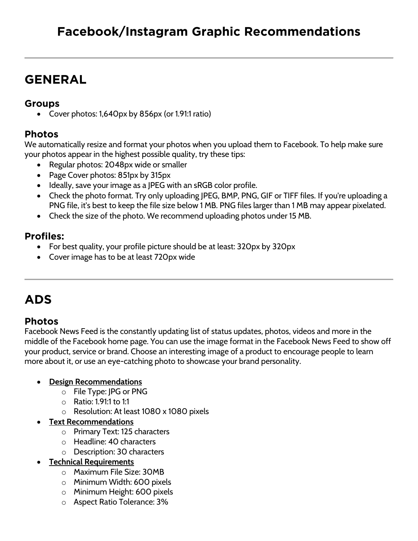# **Facebook/Instagram Graphic Recommendations**

## **GENERAL**

### **Groups**

• Cover photos: 1,640px by 856px (or 1.91:1 ratio)

### **Photos**

We automatically resize and format your photos when you upload them to Facebook. To help make sure your photos appear in the highest possible quality, try these tips:

- Regular photos: 2048px wide or smaller
- Page Cover photos: 851px by 315px
- Ideally, save your image as a JPEG with an sRGB color profile.
- Check the photo format. Try only uploading JPEG, BMP, PNG, GIF or TIFF files. If you're uploading a PNG file, it's best to keep the file size below 1 MB. PNG files larger than 1 MB may appear pixelated.
- Check the size of the photo. We recommend uploading photos under 15 MB.

## **Profiles:**

- For best quality, your profile picture should be at least: 320px by 320px
- Cover image has to be at least 720px wide

# **ADS**

## **Photos**

Facebook News Feed is the constantly updating list of status updates, photos, videos and more in the middle of the Facebook home page. You can use the image format in the Facebook News Feed to show off your product, service or brand. Choose an interesting image of a product to encourage people to learn more about it, or use an eye-catching photo to showcase your brand personality.

### • **Design Recommendations**

- o File Type: JPG or PNG
- o Ratio: 1.91:1 to 1:1
- o Resolution: At least 1080 x 1080 pixels
- **Text Recommendations** 
	- o Primary Text: 125 characters
	- o Headline: 40 characters
	- o Description: 30 characters
- **Technical Requirements** 
	- o Maximum File Size: 30MB
	- o Minimum Width: 600 pixels
	- o Minimum Height: 600 pixels
	- o Aspect Ratio Tolerance: 3%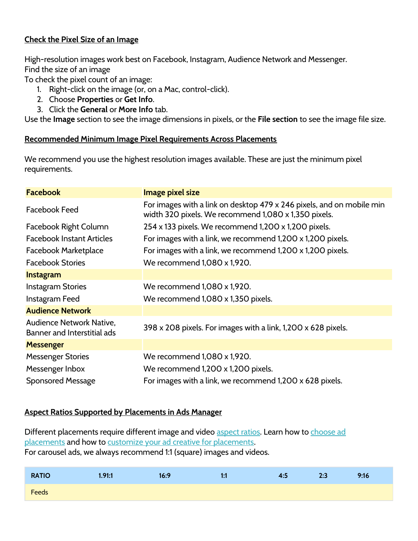#### **Check the Pixel Size of an Image**

High-resolution images work best on Facebook, Instagram, Audience Network and Messenger. Find the size of an image

To check the pixel count of an image:

- 1. Right-click on the image (or, on a Mac, control-click).
- 2. Choose **Properties** or **Get Info**.
- 3. Click the **General** or **More Info** tab.

Use the **Image** section to see the image dimensions in pixels, or the **File section** to see the image file size.

#### **Recommended Minimum Image Pixel Requirements Across Placements**

We recommend you use the highest resolution images available. These are just the minimum pixel requirements.

| <b>Facebook</b>                                         | Image pixel size                                                                                                              |
|---------------------------------------------------------|-------------------------------------------------------------------------------------------------------------------------------|
| <b>Facebook Feed</b>                                    | For images with a link on desktop 479 x 246 pixels, and on mobile min<br>width 320 pixels. We recommend 1,080 x 1,350 pixels. |
| Facebook Right Column                                   | 254 x 133 pixels. We recommend 1,200 x 1,200 pixels.                                                                          |
| <b>Facebook Instant Articles</b>                        | For images with a link, we recommend 1,200 x 1,200 pixels.                                                                    |
| Facebook Marketplace                                    | For images with a link, we recommend 1,200 x 1,200 pixels.                                                                    |
| <b>Facebook Stories</b>                                 | We recommend 1,080 x 1,920.                                                                                                   |
| <b>Instagram</b>                                        |                                                                                                                               |
| <b>Instagram Stories</b>                                | We recommend 1,080 x 1,920.                                                                                                   |
| Instagram Feed                                          | We recommend 1,080 x 1,350 pixels.                                                                                            |
| <b>Audience Network</b>                                 |                                                                                                                               |
| Audience Network Native,<br>Banner and Interstitial ads | 398 x 208 pixels. For images with a link, 1,200 x 628 pixels.                                                                 |
| <b>Messenger</b>                                        |                                                                                                                               |
| <b>Messenger Stories</b>                                | We recommend 1,080 x 1,920.                                                                                                   |
| Messenger Inbox                                         | We recommend 1,200 x 1,200 pixels.                                                                                            |
| <b>Sponsored Message</b>                                | For images with a link, we recommend 1,200 x 628 pixels.                                                                      |

#### **Aspect Ratios Supported by Placements in Ads Manager**

Different placements require different image and video [aspect ratios.](https://www.facebook.com/help/2072491112815612) Learn how to choose ad [placements](https://www.facebook.com/help/175741192481247) and how t[o customize your ad creative for placements.](https://www.facebook.com/business/help/1044825198987622) For carousel ads, we always recommend 1:1 (square) images and videos.

| <b>RATIO</b> | 1.91:1 | 16:9 | 1:1 | 4:5 | 2:3 | 9:16 |
|--------------|--------|------|-----|-----|-----|------|
| Feeds        |        |      |     |     |     |      |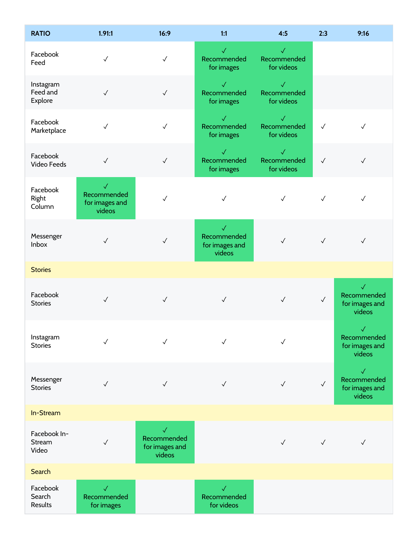| <b>RATIO</b>                     | 1.91:1                                                | 16:9                                                    | 1:1                                                     | 4:5                                       | 2:3          | 9:16                                                    |
|----------------------------------|-------------------------------------------------------|---------------------------------------------------------|---------------------------------------------------------|-------------------------------------------|--------------|---------------------------------------------------------|
| Facebook<br>Feed                 | $\checkmark$                                          | $\checkmark$                                            | $\checkmark$<br>Recommended<br>for images               | $\checkmark$<br>Recommended<br>for videos |              |                                                         |
| Instagram<br>Feed and<br>Explore | $\checkmark$                                          | $\checkmark$                                            | $\checkmark$<br>Recommended<br>for images               | $\checkmark$<br>Recommended<br>for videos |              |                                                         |
| Facebook<br>Marketplace          | $\checkmark$                                          | $\checkmark$                                            | $\checkmark$<br>Recommended<br>for images               | $\checkmark$<br>Recommended<br>for videos | $\checkmark$ | $\checkmark$                                            |
| Facebook<br>Video Feeds          | $\checkmark$                                          | $\checkmark$                                            | $\checkmark$<br>Recommended<br>for images               | $\checkmark$<br>Recommended<br>for videos | $\checkmark$ | $\checkmark$                                            |
| Facebook<br>Right<br>Column      | $\sqrt{2}$<br>Recommended<br>for images and<br>videos | $\checkmark$                                            | $\checkmark$                                            | $\checkmark$                              | $\checkmark$ | $\checkmark$                                            |
| Messenger<br>Inbox               | $\checkmark$                                          | $\checkmark$                                            | $\checkmark$<br>Recommended<br>for images and<br>videos | $\checkmark$                              | $\checkmark$ | $\checkmark$                                            |
| <b>Stories</b>                   |                                                       |                                                         |                                                         |                                           |              |                                                         |
| Facebook<br><b>Stories</b>       | $\checkmark$                                          | $\checkmark$                                            | $\checkmark$                                            | $\checkmark$                              | $\checkmark$ | $\checkmark$<br>Recommended<br>for images and<br>videos |
| Instagram<br><b>Stories</b>      | $\checkmark$                                          | $\checkmark$                                            | $\checkmark$                                            | $\checkmark$                              |              | $\checkmark$<br>Recommended<br>for images and<br>videos |
| Messenger<br><b>Stories</b>      | $\checkmark$                                          | $\checkmark$                                            | $\checkmark$                                            | $\checkmark$                              | $\checkmark$ | $\checkmark$<br>Recommended<br>for images and<br>videos |
| In-Stream                        |                                                       |                                                         |                                                         |                                           |              |                                                         |
| Facebook In-<br>Stream<br>Video  | $\checkmark$                                          | $\checkmark$<br>Recommended<br>for images and<br>videos |                                                         | $\checkmark$                              | $\checkmark$ | $\checkmark$                                            |
| Search                           |                                                       |                                                         |                                                         |                                           |              |                                                         |
| Facebook<br>Search<br>Results    | $\sqrt{}$<br>Recommended<br>for images                |                                                         | $\checkmark$<br>Recommended<br>for videos               |                                           |              |                                                         |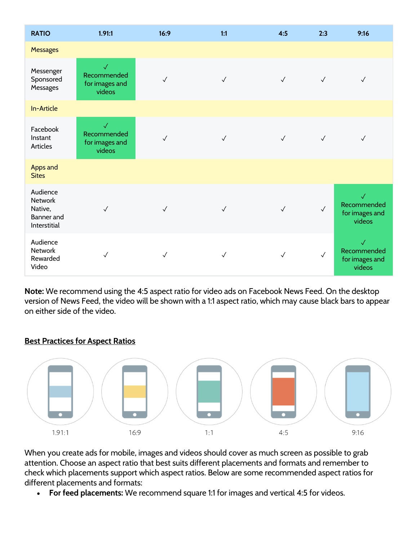| <b>RATIO</b>                                                 | 1.91:1                                                  | 16:9         | 1:1          | 4:5          | 2:3          | 9:16                                                    |
|--------------------------------------------------------------|---------------------------------------------------------|--------------|--------------|--------------|--------------|---------------------------------------------------------|
| <b>Messages</b>                                              |                                                         |              |              |              |              |                                                         |
| Messenger<br>Sponsored<br>Messages                           | $\checkmark$<br>Recommended<br>for images and<br>videos | $\checkmark$ | $\checkmark$ | $\checkmark$ | $\checkmark$ | $\checkmark$                                            |
| In-Article                                                   |                                                         |              |              |              |              |                                                         |
| Facebook<br>Instant<br>Articles                              | $\sqrt{}$<br>Recommended<br>for images and<br>videos    | $\checkmark$ | $\checkmark$ | $\checkmark$ | $\checkmark$ | $\sqrt{}$                                               |
| <b>Apps and</b><br><b>Sites</b>                              |                                                         |              |              |              |              |                                                         |
| Audience<br>Network<br>Native,<br>Banner and<br>Interstitial | $\checkmark$                                            | $\checkmark$ | $\checkmark$ | $\checkmark$ | $\checkmark$ | $\checkmark$<br>Recommended<br>for images and<br>videos |
| Audience<br>Network<br>Rewarded<br>Video                     | $\checkmark$                                            | $\checkmark$ | $\checkmark$ | $\checkmark$ | $\checkmark$ | $\checkmark$<br>Recommended<br>for images and<br>videos |

**Note:** We recommend using the 4:5 aspect ratio for video ads on Facebook News Feed. On the desktop version of News Feed, the video will be shown with a 1:1 aspect ratio, which may cause black bars to appear on either side of the video.

#### **Best Practices for Aspect Ratios**



When you create ads for mobile, images and videos should cover as much screen as possible to grab attention. Choose an aspect ratio that best suits different placements and formats and remember to check which placements support which aspect ratios. Below are some recommended aspect ratios for different placements and formats:

• **For feed placements:** We recommend square 1:1 for images and vertical 4:5 for videos.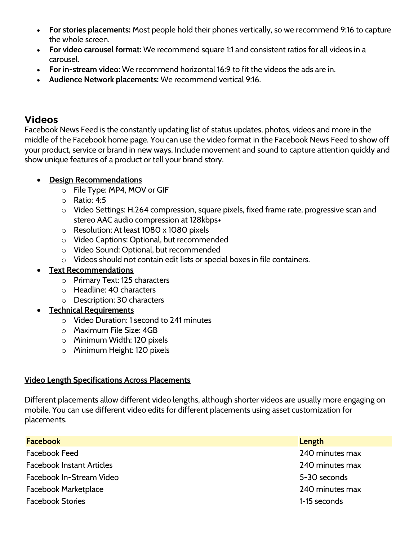- **For stories placements:** Most people hold their phones vertically, so we recommend 9:16 to capture the whole screen.
- **For video carousel format:** We recommend square 1:1 and consistent ratios for all videos in a carousel.
- **For in-stream video:** We recommend horizontal 16:9 to fit the videos the ads are in.
- **Audience Network placements:** We recommend vertical 9:16.

### **Videos**

Facebook News Feed is the constantly updating list of status updates, photos, videos and more in the middle of the Facebook home page. You can use the video format in the Facebook News Feed to show off your product, service or brand in new ways. Include movement and sound to capture attention quickly and show unique features of a product or tell your brand story.

- **Design Recommendations** 
	- o File Type: MP4, MOV or GIF
	- o Ratio: 4:5
	- o Video Settings: H.264 compression, square pixels, fixed frame rate, progressive scan and stereo AAC audio compression at 128kbps+
	- o Resolution: At least 1080 x 1080 pixels
	- o Video Captions: Optional, but recommended
	- o Video Sound: Optional, but recommended
	- o Videos should not contain edit lists or special boxes in file containers.
- **Text Recommendations** 
	- o Primary Text: 125 characters
	- o Headline: 40 characters
	- o Description: 30 characters
- **Technical Requirements** 
	- o Video Duration: 1 second to 241 minutes
	- o Maximum File Size: 4GB
	- o Minimum Width: 120 pixels
	- o Minimum Height: 120 pixels

### **Video Length Specifications Across Placements**

Different placements allow different video lengths, although shorter videos are usually more engaging on mobile. You can use different video edits for different placements using asset customization for placements.

| <b>Facebook</b>                  | Length          |
|----------------------------------|-----------------|
| Facebook Feed                    | 240 minutes max |
| <b>Facebook Instant Articles</b> | 240 minutes max |
| Facebook In-Stream Video         | 5-30 seconds    |
| <b>Facebook Marketplace</b>      | 240 minutes max |
| <b>Facebook Stories</b>          | 1-15 seconds    |